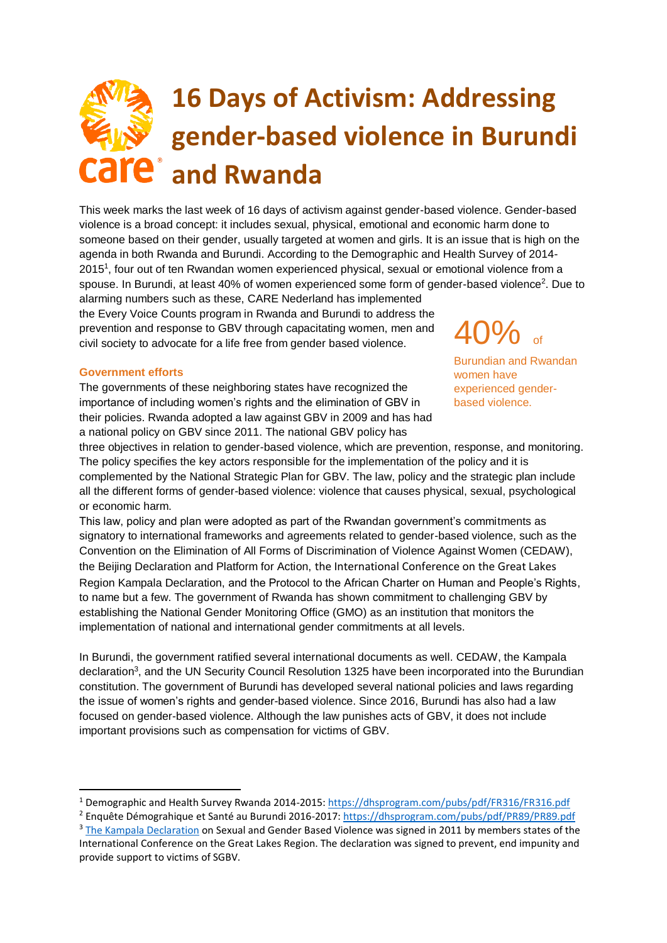# **16 Days of Activism: Addressing gender-based violence in Burundi are** and Rwanda

This week marks the last week of 16 days of activism against gender-based violence. Gender-based violence is a broad concept: it includes sexual, physical, emotional and economic harm done to someone based on their gender, usually targeted at women and girls. It is an issue that is high on the agenda in both Rwanda and Burundi. According to the Demographic and Health Survey of 2014- 2015<sup>1</sup>, four out of ten Rwandan women experienced physical, sexual or emotional violence from a spouse. In Burundi, at least 40% of women experienced some form of gender-based violence<sup>2</sup>. Due to

alarming numbers such as these, CARE Nederland has implemented the Every Voice Counts program in Rwanda and Burundi to address the prevention and response to GBV through capacitating women, men and civil society to advocate for a life free from gender based violence.

## **Government efforts**

 $\overline{a}$ 

The governments of these neighboring states have recognized the importance of including women's rights and the elimination of GBV in their policies. Rwanda adopted a law against GBV in 2009 and has had a national policy on GBV since 2011. The national GBV policy has

 $40%$ 

Burundian and Rwandan women have experienced genderbased violence.

three objectives in relation to gender-based violence, which are prevention, response, and monitoring. The policy specifies the key actors responsible for the implementation of the policy and it is complemented by the National Strategic Plan for GBV. The law, policy and the strategic plan include all the different forms of gender-based violence: violence that causes physical, sexual, psychological or economic harm.

This law, policy and plan were adopted as part of the Rwandan government's commitments as signatory to international frameworks and agreements related to gender-based violence, such as the Convention on the Elimination of All Forms of Discrimination of Violence Against Women (CEDAW),

the Beijing Declaration and Platform for Action, the International Conference on the Great Lakes Region Kampala Declaration, and the Protocol to the African Charter on Human and People's Rights, to name but a few. The government of Rwanda has shown commitment to challenging GBV by establishing the National Gender Monitoring Office (GMO) as an institution that monitors the implementation of national and international gender commitments at all levels.

In Burundi, the government ratified several international documents as well. CEDAW, the Kampala declaration<sup>3</sup>, and the UN Security Council Resolution 1325 have been incorporated into the Burundian constitution. The government of Burundi has developed several national policies and laws regarding the issue of women's rights and gender-based violence. Since 2016, Burundi has also had a law focused on gender-based violence. Although the law punishes acts of GBV, it does not include important provisions such as compensation for victims of GBV.

<sup>1</sup> Demographic and Health Survey Rwanda 2014-2015:<https://dhsprogram.com/pubs/pdf/FR316/FR316.pdf>

<sup>2</sup> Enquête Démograhique et Santé au Burundi 2016-2017[: https://dhsprogram.com/pubs/pdf/PR89/PR89.pdf](https://dhsprogram.com/pubs/pdf/PR89/PR89.pdf)

<sup>&</sup>lt;sup>3</sup> [The Kampala Declaration](http://www.acordinternational.org/silo/files/declaration-by-heads-of-state-from-icglr.pdf) on Sexual and Gender Based Violence was signed in 2011 by members states of the International Conference on the Great Lakes Region. The declaration was signed to prevent, end impunity and provide support to victims of SGBV.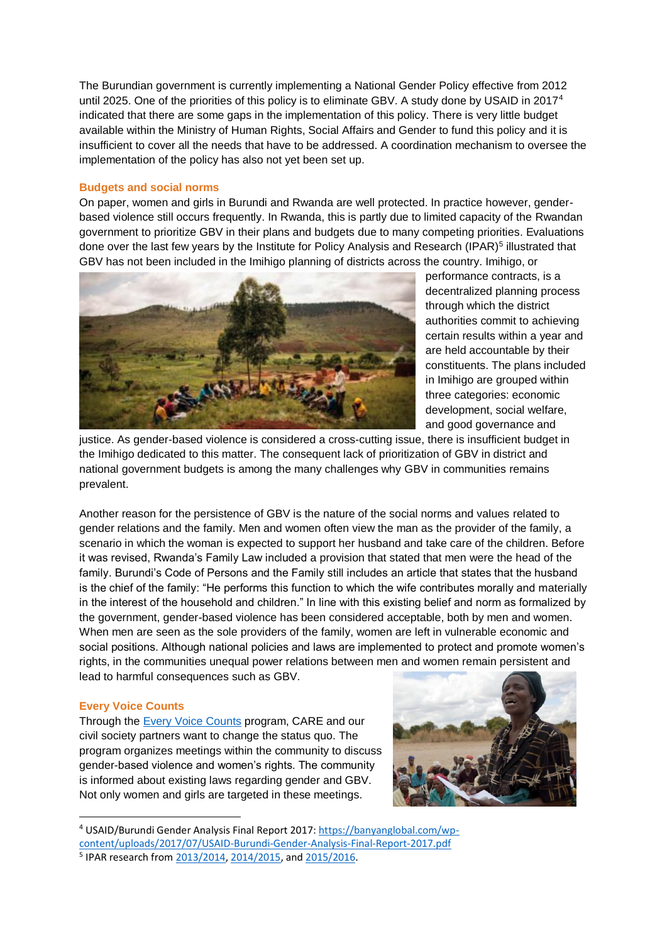The Burundian government is currently implementing a National Gender Policy effective from 2012 until 2025. One of the priorities of this policy is to eliminate GBV. A study done by USAID in 2017<sup>4</sup> indicated that there are some gaps in the implementation of this policy. There is very little budget available within the Ministry of Human Rights, Social Affairs and Gender to fund this policy and it is insufficient to cover all the needs that have to be addressed. A coordination mechanism to oversee the implementation of the policy has also not yet been set up.

## **Budgets and social norms**

On paper, women and girls in Burundi and Rwanda are well protected. In practice however, genderbased violence still occurs frequently. In Rwanda, this is partly due to limited capacity of the Rwandan government to prioritize GBV in their plans and budgets due to many competing priorities. Evaluations done over the last few years by the Institute for Policy Analysis and Research (IPAR)<sup>5</sup> illustrated that GBV has not been included in the Imihigo planning of districts across the country. Imihigo, or



performance contracts, is a decentralized planning process through which the district authorities commit to achieving certain results within a year and are held accountable by their constituents. The plans included in Imihigo are grouped within three categories: economic development, social welfare, and good governance and

justice. As gender-based violence is considered a cross-cutting issue, there is insufficient budget in the Imihigo dedicated to this matter. The consequent lack of prioritization of GBV in district and national government budgets is among the many challenges why GBV in communities remains prevalent.

Another reason for the persistence of GBV is the nature of the social norms and values related to gender relations and the family. Men and women often view the man as the provider of the family, a scenario in which the woman is expected to support her husband and take care of the children. Before it was revised, Rwanda's Family Law included a provision that stated that men were the head of the family. Burundi's Code of Persons and the Family still includes an article that states that the husband is the chief of the family: "He performs this function to which the wife contributes morally and materially in the interest of the household and children." In line with this existing belief and norm as formalized by the government, gender-based violence has been considered acceptable, both by men and women. When men are seen as the sole providers of the family, women are left in vulnerable economic and social positions. Although national policies and laws are implemented to protect and promote women's rights, in the communities unequal power relations between men and women remain persistent and lead to harmful consequences such as GBV.

#### **Every Voice Counts**

1

Through the **Every Voice Counts** program, CARE and our civil society partners want to change the status quo. The program organizes meetings within the community to discuss gender-based violence and women's rights. The community is informed about existing laws regarding gender and GBV. Not only women and girls are targeted in these meetings.



<sup>4</sup> USAID/Burundi Gender Analysis Final Report 2017[: https://banyanglobal.com/wp](https://banyanglobal.com/wp-content/uploads/2017/07/USAID-Burundi-Gender-Analysis-Final-Report-2017.pdf)[content/uploads/2017/07/USAID-Burundi-Gender-Analysis-Final-Report-2017.pdf](https://banyanglobal.com/wp-content/uploads/2017/07/USAID-Burundi-Gender-Analysis-Final-Report-2017.pdf) <sup>5</sup> IPAR research from [2013/2014,](http://www.rwandapedia.rw/cmis/views/workspace%253A%252F%252FSpacesStore%252F1afdf7cc-2c6d-431f-837e-16dccc64f660) [2014/2015,](http://ipar-rwanda.org/index.php?option=com_edocman&task=document.viewdoc&id=59&Itemid=115&lang=en) and [2015/2016.](http://www.gakenke.gov.rw/fileadmin/user_upload/DOC-20160922-WA0001.pdf)